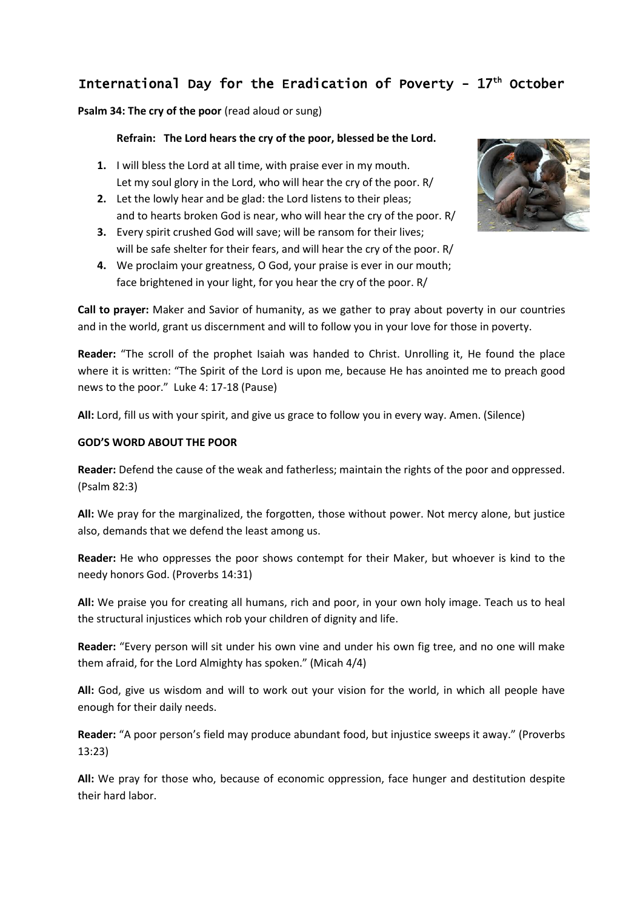# International Day for the Eradication of Poverty -  $17<sup>th</sup>$  October

**Psalm 34: The cry of the poor** (read aloud or sung)

## **Refrain: The Lord hears the cry of the poor, blessed be the Lord.**

- **1.** I will bless the Lord at all time, with praise ever in my mouth. Let my soul glory in the Lord, who will hear the cry of the poor. R/
- **2.** Let the lowly hear and be glad: the Lord listens to their pleas; and to hearts broken God is near, who will hear the cry of the poor. R/
- **3.** Every spirit crushed God will save; will be ransom for their lives; will be safe shelter for their fears, and will hear the cry of the poor. R/
- **4.** We proclaim your greatness, O God, your praise is ever in our mouth; face brightened in your light, for you hear the cry of the poor. R/



**Call to prayer:** Maker and Savior of humanity, as we gather to pray about poverty in our countries and in the world, grant us discernment and will to follow you in your love for those in poverty.

**Reader:** "The scroll of the prophet Isaiah was handed to Christ. Unrolling it, He found the place where it is written: "The Spirit of the Lord is upon me, because He has anointed me to preach good news to the poor." Luke 4: 17-18 (Pause)

**All:** Lord, fill us with your spirit, and give us grace to follow you in every way. Amen. (Silence)

## **GOD'S WORD ABOUT THE POOR**

**Reader:** Defend the cause of the weak and fatherless; maintain the rights of the poor and oppressed. (Psalm 82:3)

**All:** We pray for the marginalized, the forgotten, those without power. Not mercy alone, but justice also, demands that we defend the least among us.

**Reader:** He who oppresses the poor shows contempt for their Maker, but whoever is kind to the needy honors God. (Proverbs 14:31)

**All:** We praise you for creating all humans, rich and poor, in your own holy image. Teach us to heal the structural injustices which rob your children of dignity and life.

**Reader:** "Every person will sit under his own vine and under his own fig tree, and no one will make them afraid, for the Lord Almighty has spoken." (Micah 4/4)

**All:** God, give us wisdom and will to work out your vision for the world, in which all people have enough for their daily needs.

**Reader:** "A poor person's field may produce abundant food, but injustice sweeps it away." (Proverbs 13:23)

**All:** We pray for those who, because of economic oppression, face hunger and destitution despite their hard labor.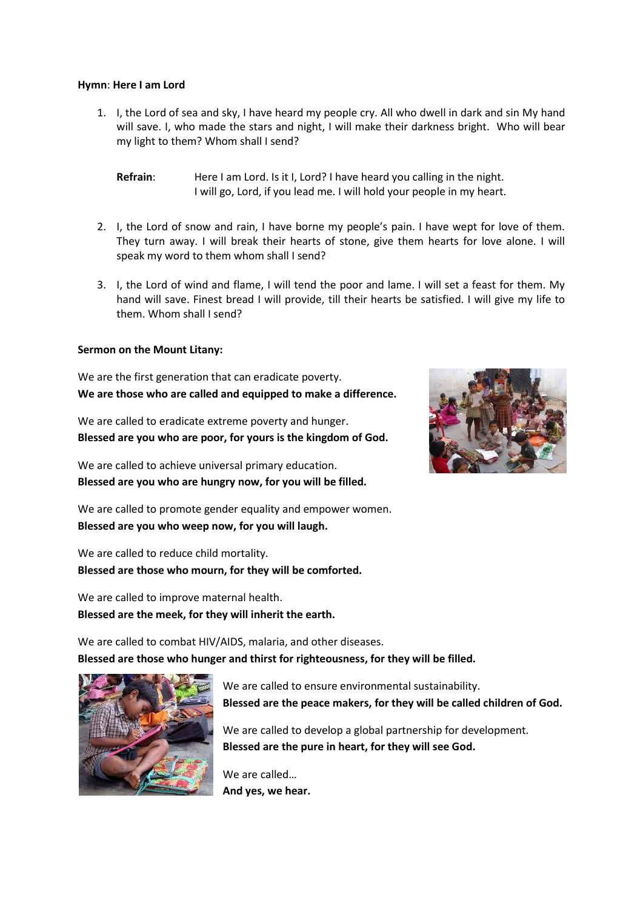#### **Hymn**: **Here I am Lord**

1. I, the Lord of sea and sky, I have heard my people cry. All who dwell in dark and sin My hand will save. I, who made the stars and night, I will make their darkness bright. Who will bear my light to them? Whom shall I send?

- 2. I, the Lord of snow and rain, I have borne my people's pain. I have wept for love of them. They turn away. I will break their hearts of stone, give them hearts for love alone. I will speak my word to them whom shall I send?
- 3. I, the Lord of wind and flame, I will tend the poor and lame. I will set a feast for them. My hand will save. Finest bread I will provide, till their hearts be satisfied. I will give my life to them. Whom shall I send?

#### **Sermon on the Mount Litany:**

We are the first generation that can eradicate poverty. **We are those who are called and equipped to make a difference.**

We are called to eradicate extreme poverty and hunger. **Blessed are you who are poor, for yours is the kingdom of God.**

We are called to achieve universal primary education. **Blessed are you who are hungry now, for you will be filled.**

We are called to promote gender equality and empower women. **Blessed are you who weep now, for you will laugh.**

We are called to reduce child mortality. **Blessed are those who mourn, for they will be comforted.**

We are called to improve maternal health. **Blessed are the meek, for they will inherit the earth.**

We are called to combat HIV/AIDS, malaria, and other diseases. **Blessed are those who hunger and thirst for righteousness, for they will be filled.**

> We are called to ensure environmental sustainability. **Blessed are the peace makers, for they will be called children of God.**

We are called to develop a global partnership for development. **Blessed are the pure in heart, for they will see God.**

We are called… **And yes, we hear.**





**Refrain**: Here I am Lord. Is it I, Lord? I have heard you calling in the night. I will go, Lord, if you lead me. I will hold your people in my heart.